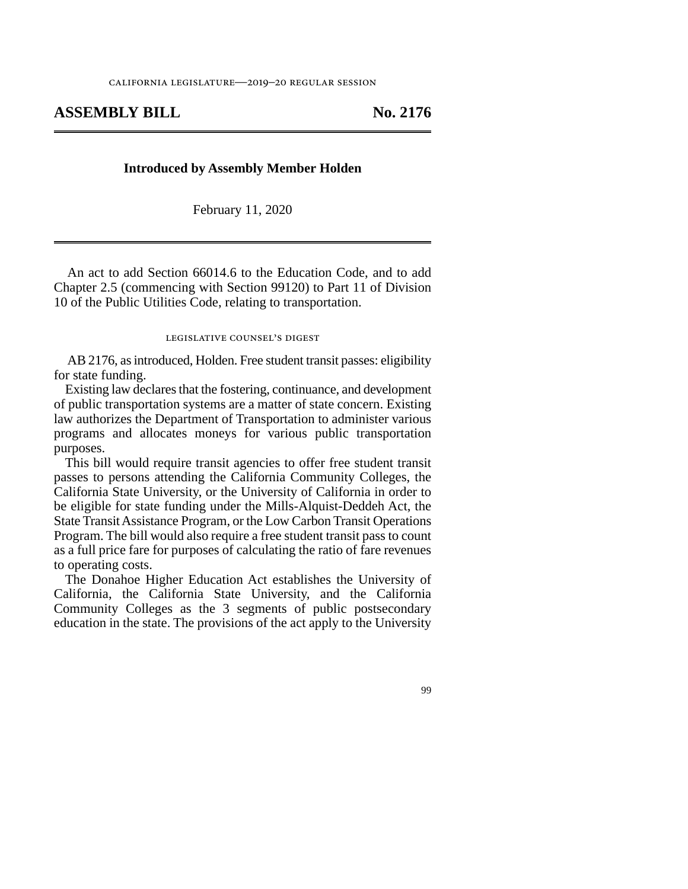## **ASSEMBLY BILL No. 2176**

## **Introduced by Assembly Member Holden**

February 11, 2020

An act to add Section 66014.6 to the Education Code, and to add Chapter 2.5 (commencing with Section 99120) to Part 11 of Division 10 of the Public Utilities Code, relating to transportation.

## legislative counsel's digest

AB 2176, as introduced, Holden. Free student transit passes: eligibility for state funding.

Existing law declares that the fostering, continuance, and development of public transportation systems are a matter of state concern. Existing law authorizes the Department of Transportation to administer various programs and allocates moneys for various public transportation purposes.

This bill would require transit agencies to offer free student transit passes to persons attending the California Community Colleges, the California State University, or the University of California in order to be eligible for state funding under the Mills-Alquist-Deddeh Act, the State Transit Assistance Program, or the Low Carbon Transit Operations Program. The bill would also require a free student transit pass to count as a full price fare for purposes of calculating the ratio of fare revenues to operating costs.

The Donahoe Higher Education Act establishes the University of California, the California State University, and the California Community Colleges as the 3 segments of public postsecondary education in the state. The provisions of the act apply to the University

99